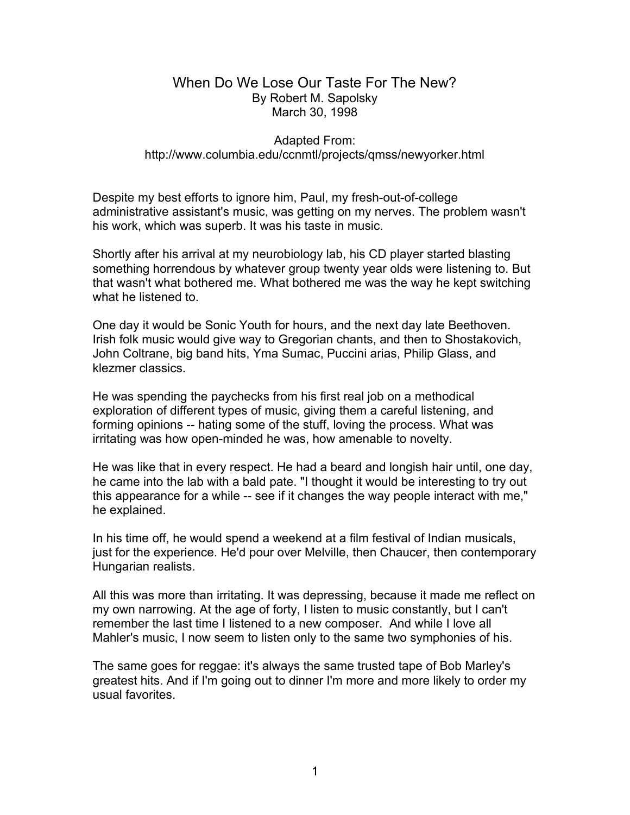## When Do We Lose Our Taste For The New? By Robert M. Sapolsky March 30, 1998

## Adapted From: http://www.columbia.edu/ccnmtl/projects/qmss/newyorker.html

Despite my best efforts to ignore him, Paul, my fresh-out-of-college administrative assistant's music, was getting on my nerves. The problem wasn't his work, which was superb. It was his taste in music.

Shortly after his arrival at my neurobiology lab, his CD player started blasting something horrendous by whatever group twenty year olds were listening to. But that wasn't what bothered me. What bothered me was the way he kept switching what he listened to.

One day it would be Sonic Youth for hours, and the next day late Beethoven. Irish folk music would give way to Gregorian chants, and then to Shostakovich, John Coltrane, big band hits, Yma Sumac, Puccini arias, Philip Glass, and klezmer classics.

He was spending the paychecks from his first real job on a methodical exploration of different types of music, giving them a careful listening, and forming opinions -- hating some of the stuff, loving the process. What was irritating was how open-minded he was, how amenable to novelty.

He was like that in every respect. He had a beard and longish hair until, one day, he came into the lab with a bald pate. "I thought it would be interesting to try out this appearance for a while -- see if it changes the way people interact with me," he explained.

In his time off, he would spend a weekend at a film festival of Indian musicals, just for the experience. He'd pour over Melville, then Chaucer, then contemporary Hungarian realists.

All this was more than irritating. It was depressing, because it made me reflect on my own narrowing. At the age of forty, I listen to music constantly, but I can't remember the last time I listened to a new composer. And while I love all Mahler's music, I now seem to listen only to the same two symphonies of his.

The same goes for reggae: it's always the same trusted tape of Bob Marley's greatest hits. And if I'm going out to dinner I'm more and more likely to order my usual favorites.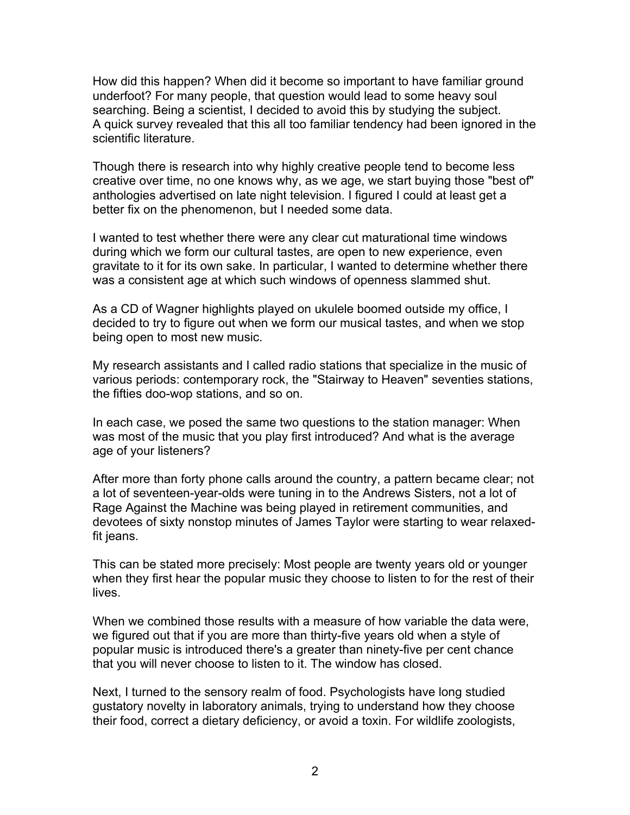How did this happen? When did it become so important to have familiar ground underfoot? For many people, that question would lead to some heavy soul searching. Being a scientist, I decided to avoid this by studying the subject. A quick survey revealed that this all too familiar tendency had been ignored in the scientific literature.

Though there is research into why highly creative people tend to become less creative over time, no one knows why, as we age, we start buying those "best of" anthologies advertised on late night television. I figured I could at least get a better fix on the phenomenon, but I needed some data.

I wanted to test whether there were any clear cut maturational time windows during which we form our cultural tastes, are open to new experience, even gravitate to it for its own sake. In particular, I wanted to determine whether there was a consistent age at which such windows of openness slammed shut.

As a CD of Wagner highlights played on ukulele boomed outside my office, I decided to try to figure out when we form our musical tastes, and when we stop being open to most new music.

My research assistants and I called radio stations that specialize in the music of various periods: contemporary rock, the "Stairway to Heaven" seventies stations, the fifties doo-wop stations, and so on.

In each case, we posed the same two questions to the station manager: When was most of the music that you play first introduced? And what is the average age of your listeners?

After more than forty phone calls around the country, a pattern became clear; not a lot of seventeen-year-olds were tuning in to the Andrews Sisters, not a lot of Rage Against the Machine was being played in retirement communities, and devotees of sixty nonstop minutes of James Taylor were starting to wear relaxedfit jeans.

This can be stated more precisely: Most people are twenty years old or younger when they first hear the popular music they choose to listen to for the rest of their lives.

When we combined those results with a measure of how variable the data were, we figured out that if you are more than thirty-five years old when a style of popular music is introduced there's a greater than ninety-five per cent chance that you will never choose to listen to it. The window has closed.

Next, I turned to the sensory realm of food. Psychologists have long studied gustatory novelty in laboratory animals, trying to understand how they choose their food, correct a dietary deficiency, or avoid a toxin. For wildlife zoologists,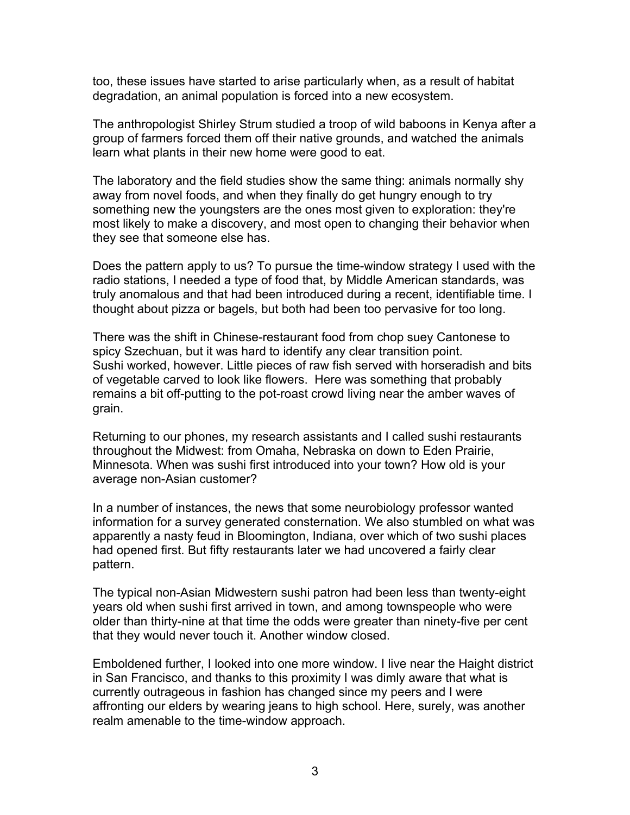too, these issues have started to arise particularly when, as a result of habitat degradation, an animal population is forced into a new ecosystem.

The anthropologist Shirley Strum studied a troop of wild baboons in Kenya after a group of farmers forced them off their native grounds, and watched the animals learn what plants in their new home were good to eat.

The laboratory and the field studies show the same thing: animals normally shy away from novel foods, and when they finally do get hungry enough to try something new the youngsters are the ones most given to exploration: they're most likely to make a discovery, and most open to changing their behavior when they see that someone else has.

Does the pattern apply to us? To pursue the time-window strategy I used with the radio stations, I needed a type of food that, by Middle American standards, was truly anomalous and that had been introduced during a recent, identifiable time. I thought about pizza or bagels, but both had been too pervasive for too long.

There was the shift in Chinese-restaurant food from chop suey Cantonese to spicy Szechuan, but it was hard to identify any clear transition point. Sushi worked, however. Little pieces of raw fish served with horseradish and bits of vegetable carved to look like flowers. Here was something that probably remains a bit off-putting to the pot-roast crowd living near the amber waves of grain.

Returning to our phones, my research assistants and I called sushi restaurants throughout the Midwest: from Omaha, Nebraska on down to Eden Prairie, Minnesota. When was sushi first introduced into your town? How old is your average non-Asian customer?

In a number of instances, the news that some neurobiology professor wanted information for a survey generated consternation. We also stumbled on what was apparently a nasty feud in Bloomington, Indiana, over which of two sushi places had opened first. But fifty restaurants later we had uncovered a fairly clear pattern.

The typical non-Asian Midwestern sushi patron had been less than twenty-eight years old when sushi first arrived in town, and among townspeople who were older than thirty-nine at that time the odds were greater than ninety-five per cent that they would never touch it. Another window closed.

Emboldened further, I looked into one more window. I live near the Haight district in San Francisco, and thanks to this proximity I was dimly aware that what is currently outrageous in fashion has changed since my peers and I were affronting our elders by wearing jeans to high school. Here, surely, was another realm amenable to the time-window approach.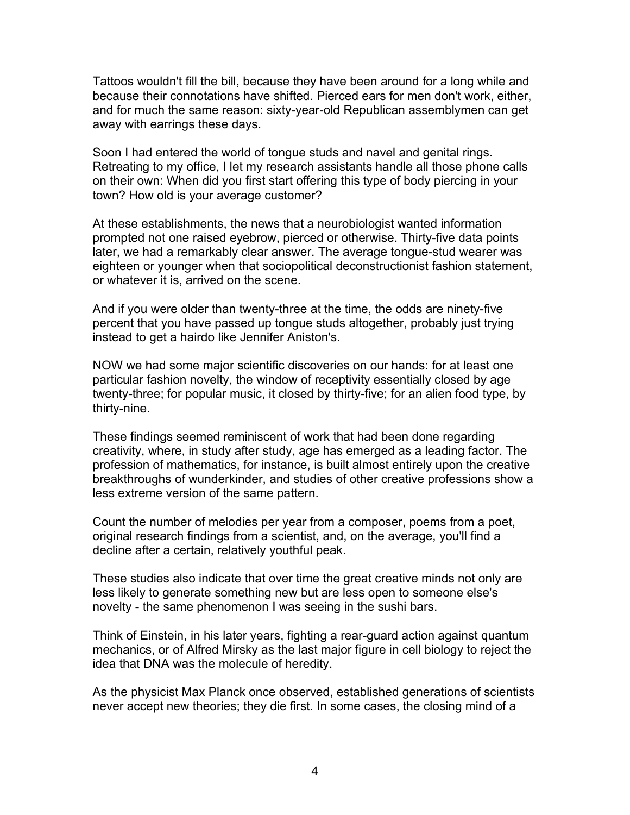Tattoos wouldn't fill the bill, because they have been around for a long while and because their connotations have shifted. Pierced ears for men don't work, either, and for much the same reason: sixty-year-old Republican assemblymen can get away with earrings these days.

Soon I had entered the world of tongue studs and navel and genital rings. Retreating to my office, I let my research assistants handle all those phone calls on their own: When did you first start offering this type of body piercing in your town? How old is your average customer?

At these establishments, the news that a neurobiologist wanted information prompted not one raised eyebrow, pierced or otherwise. Thirty-five data points later, we had a remarkably clear answer. The average tongue-stud wearer was eighteen or younger when that sociopolitical deconstructionist fashion statement, or whatever it is, arrived on the scene.

And if you were older than twenty-three at the time, the odds are ninety-five percent that you have passed up tongue studs altogether, probably just trying instead to get a hairdo like Jennifer Aniston's.

NOW we had some major scientific discoveries on our hands: for at least one particular fashion novelty, the window of receptivity essentially closed by age twenty-three; for popular music, it closed by thirty-five; for an alien food type, by thirty-nine.

These findings seemed reminiscent of work that had been done regarding creativity, where, in study after study, age has emerged as a leading factor. The profession of mathematics, for instance, is built almost entirely upon the creative breakthroughs of wunderkinder, and studies of other creative professions show a less extreme version of the same pattern.

Count the number of melodies per year from a composer, poems from a poet, original research findings from a scientist, and, on the average, you'll find a decline after a certain, relatively youthful peak.

These studies also indicate that over time the great creative minds not only are less likely to generate something new but are less open to someone else's novelty - the same phenomenon I was seeing in the sushi bars.

Think of Einstein, in his later years, fighting a rear-guard action against quantum mechanics, or of Alfred Mirsky as the last major figure in cell biology to reject the idea that DNA was the molecule of heredity.

As the physicist Max Planck once observed, established generations of scientists never accept new theories; they die first. In some cases, the closing mind of a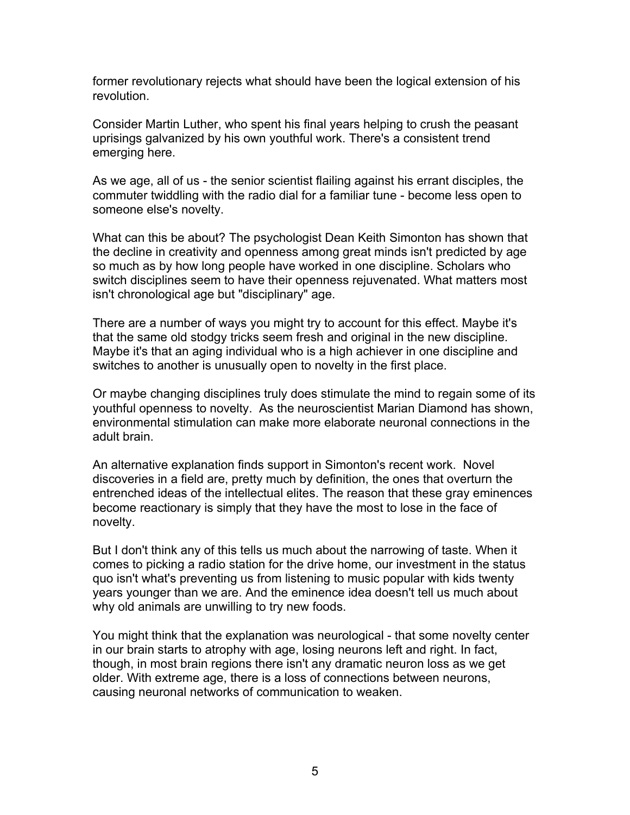former revolutionary rejects what should have been the logical extension of his revolution.

Consider Martin Luther, who spent his final years helping to crush the peasant uprisings galvanized by his own youthful work. There's a consistent trend emerging here.

As we age, all of us - the senior scientist flailing against his errant disciples, the commuter twiddling with the radio dial for a familiar tune - become less open to someone else's novelty.

What can this be about? The psychologist Dean Keith Simonton has shown that the decline in creativity and openness among great minds isn't predicted by age so much as by how long people have worked in one discipline. Scholars who switch disciplines seem to have their openness rejuvenated. What matters most isn't chronological age but "disciplinary" age.

There are a number of ways you might try to account for this effect. Maybe it's that the same old stodgy tricks seem fresh and original in the new discipline. Maybe it's that an aging individual who is a high achiever in one discipline and switches to another is unusually open to novelty in the first place.

Or maybe changing disciplines truly does stimulate the mind to regain some of its youthful openness to novelty. As the neuroscientist Marian Diamond has shown, environmental stimulation can make more elaborate neuronal connections in the adult brain.

An alternative explanation finds support in Simonton's recent work. Novel discoveries in a field are, pretty much by definition, the ones that overturn the entrenched ideas of the intellectual elites. The reason that these gray eminences become reactionary is simply that they have the most to lose in the face of novelty.

But I don't think any of this tells us much about the narrowing of taste. When it comes to picking a radio station for the drive home, our investment in the status quo isn't what's preventing us from listening to music popular with kids twenty years younger than we are. And the eminence idea doesn't tell us much about why old animals are unwilling to try new foods.

You might think that the explanation was neurological - that some novelty center in our brain starts to atrophy with age, losing neurons left and right. In fact, though, in most brain regions there isn't any dramatic neuron loss as we get older. With extreme age, there is a loss of connections between neurons, causing neuronal networks of communication to weaken.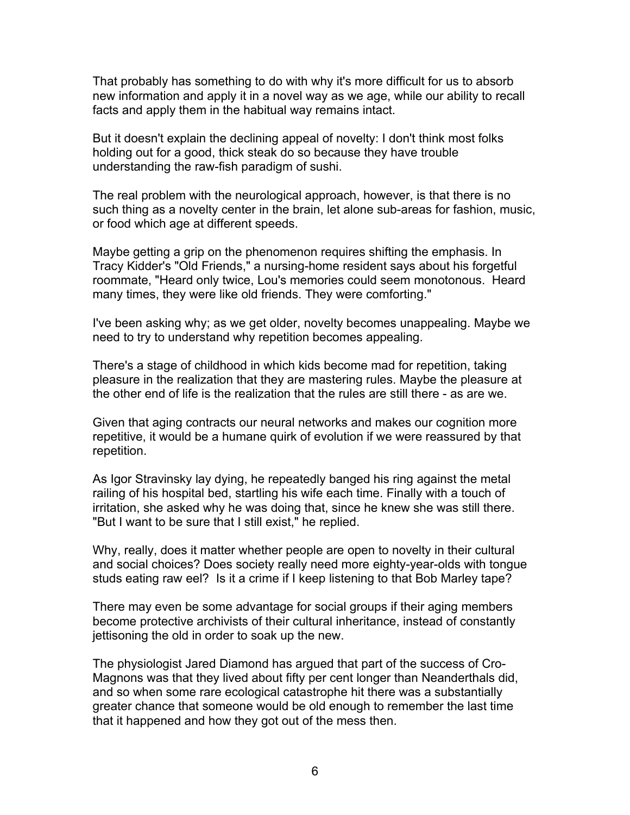That probably has something to do with why it's more difficult for us to absorb new information and apply it in a novel way as we age, while our ability to recall facts and apply them in the habitual way remains intact.

But it doesn't explain the declining appeal of novelty: I don't think most folks holding out for a good, thick steak do so because they have trouble understanding the raw-fish paradigm of sushi.

The real problem with the neurological approach, however, is that there is no such thing as a novelty center in the brain, let alone sub-areas for fashion, music, or food which age at different speeds.

Maybe getting a grip on the phenomenon requires shifting the emphasis. In Tracy Kidder's "Old Friends," a nursing-home resident says about his forgetful roommate, "Heard only twice, Lou's memories could seem monotonous. Heard many times, they were like old friends. They were comforting."

I've been asking why; as we get older, novelty becomes unappealing. Maybe we need to try to understand why repetition becomes appealing.

There's a stage of childhood in which kids become mad for repetition, taking pleasure in the realization that they are mastering rules. Maybe the pleasure at the other end of life is the realization that the rules are still there - as are we.

Given that aging contracts our neural networks and makes our cognition more repetitive, it would be a humane quirk of evolution if we were reassured by that repetition.

As Igor Stravinsky lay dying, he repeatedly banged his ring against the metal railing of his hospital bed, startling his wife each time. Finally with a touch of irritation, she asked why he was doing that, since he knew she was still there. "But I want to be sure that I still exist," he replied.

Why, really, does it matter whether people are open to novelty in their cultural and social choices? Does society really need more eighty-year-olds with tongue studs eating raw eel? Is it a crime if I keep listening to that Bob Marley tape?

There may even be some advantage for social groups if their aging members become protective archivists of their cultural inheritance, instead of constantly jettisoning the old in order to soak up the new.

The physiologist Jared Diamond has argued that part of the success of Cro-Magnons was that they lived about fifty per cent longer than Neanderthals did, and so when some rare ecological catastrophe hit there was a substantially greater chance that someone would be old enough to remember the last time that it happened and how they got out of the mess then.